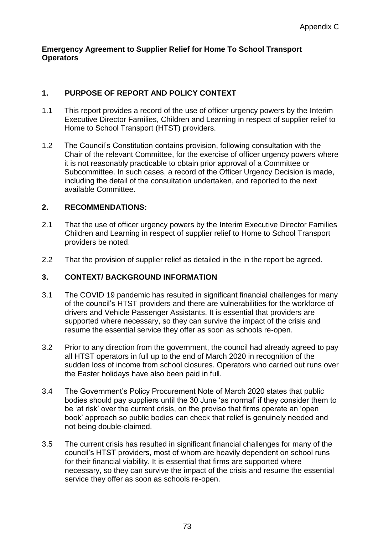#### **Emergency Agreement to Supplier Relief for Home To School Transport Operators**

## **1. PURPOSE OF REPORT AND POLICY CONTEXT**

- 1.1 This report provides a record of the use of officer urgency powers by the Interim Executive Director Families, Children and Learning in respect of supplier relief to Home to School Transport (HTST) providers.
- 1.2 The Council's Constitution contains provision, following consultation with the Chair of the relevant Committee, for the exercise of officer urgency powers where it is not reasonably practicable to obtain prior approval of a Committee or Subcommittee. In such cases, a record of the Officer Urgency Decision is made, including the detail of the consultation undertaken, and reported to the next available Committee.

## **2. RECOMMENDATIONS:**

- 2.1 That the use of officer urgency powers by the Interim Executive Director Families Children and Learning in respect of supplier relief to Home to School Transport providers be noted.
- 2.2 That the provision of supplier relief as detailed in the in the report be agreed.

### **3. CONTEXT/ BACKGROUND INFORMATION**

- 3.1 The COVID 19 pandemic has resulted in significant financial challenges for many of the council's HTST providers and there are vulnerabilities for the workforce of drivers and Vehicle Passenger Assistants. It is essential that providers are supported where necessary, so they can survive the impact of the crisis and resume the essential service they offer as soon as schools re-open.
- 3.2 Prior to any direction from the government, the council had already agreed to pay all HTST operators in full up to the end of March 2020 in recognition of the sudden loss of income from school closures. Operators who carried out runs over the Easter holidays have also been paid in full.
- 3.4 The Government's Policy Procurement Note of March 2020 states that public bodies should pay suppliers until the 30 June 'as normal' if they consider them to be 'at risk' over the current crisis, on the proviso that firms operate an 'open book' approach so public bodies can check that relief is genuinely needed and not being double-claimed.
- 3.5 The current crisis has resulted in significant financial challenges for many of the council's HTST providers, most of whom are heavily dependent on school runs for their financial viability. It is essential that firms are supported where necessary, so they can survive the impact of the crisis and resume the essential service they offer as soon as schools re-open.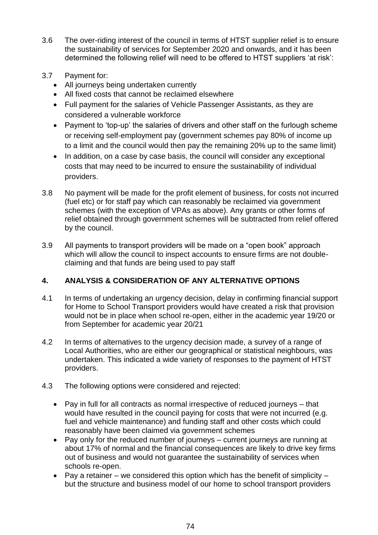- 3.6 The over-riding interest of the council in terms of HTST supplier relief is to ensure the sustainability of services for September 2020 and onwards, and it has been determined the following relief will need to be offered to HTST suppliers 'at risk':
- 3.7 Payment for:
	- All journeys being undertaken currently
	- All fixed costs that cannot be reclaimed elsewhere
	- Full payment for the salaries of Vehicle Passenger Assistants, as they are considered a vulnerable workforce
	- Payment to 'top-up' the salaries of drivers and other staff on the furlough scheme or receiving self-employment pay (government schemes pay 80% of income up to a limit and the council would then pay the remaining 20% up to the same limit)
	- In addition, on a case by case basis, the council will consider any exceptional costs that may need to be incurred to ensure the sustainability of individual providers.
- 3.8 No payment will be made for the profit element of business, for costs not incurred (fuel etc) or for staff pay which can reasonably be reclaimed via government schemes (with the exception of VPAs as above). Any grants or other forms of relief obtained through government schemes will be subtracted from relief offered by the council.
- 3.9 All payments to transport providers will be made on a "open book" approach which will allow the council to inspect accounts to ensure firms are not doubleclaiming and that funds are being used to pay staff

# **4. ANALYSIS & CONSIDERATION OF ANY ALTERNATIVE OPTIONS**

- 4.1 In terms of undertaking an urgency decision, delay in confirming financial support for Home to School Transport providers would have created a risk that provision would not be in place when school re-open, either in the academic year 19/20 or from September for academic year 20/21
- 4.2 In terms of alternatives to the urgency decision made, a survey of a range of Local Authorities, who are either our geographical or statistical neighbours, was undertaken. This indicated a wide variety of responses to the payment of HTST providers.
- 4.3 The following options were considered and rejected:
	- Pay in full for all contracts as normal irrespective of reduced journeys that would have resulted in the council paying for costs that were not incurred (e.g. fuel and vehicle maintenance) and funding staff and other costs which could reasonably have been claimed via government schemes
	- Pay only for the reduced number of journeys current journeys are running at about 17% of normal and the financial consequences are likely to drive key firms out of business and would not guarantee the sustainability of services when schools re-open.
	- Pay a retainer we considered this option which has the benefit of simplicity but the structure and business model of our home to school transport providers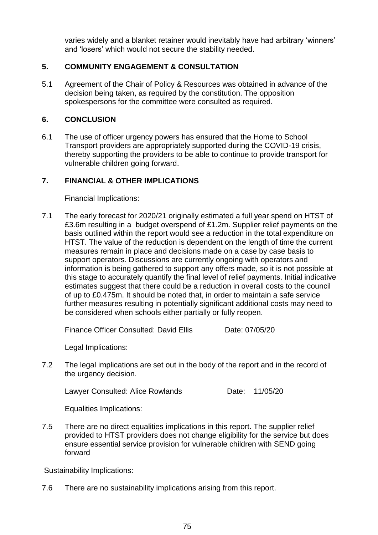varies widely and a blanket retainer would inevitably have had arbitrary 'winners' and 'losers' which would not secure the stability needed.

### **5. COMMUNITY ENGAGEMENT & CONSULTATION**

5.1 Agreement of the Chair of Policy & Resources was obtained in advance of the decision being taken, as required by the constitution. The opposition spokespersons for the committee were consulted as required.

#### **6. CONCLUSION**

6.1 The use of officer urgency powers has ensured that the Home to School Transport providers are appropriately supported during the COVID-19 crisis, thereby supporting the providers to be able to continue to provide transport for vulnerable children going forward.

### **7. FINANCIAL & OTHER IMPLICATIONS**

Financial Implications:

7.1 The early forecast for 2020/21 originally estimated a full year spend on HTST of £3.6m resulting in a budget overspend of £1.2m. Supplier relief payments on the basis outlined within the report would see a reduction in the total expenditure on HTST. The value of the reduction is dependent on the length of time the current measures remain in place and decisions made on a case by case basis to support operators. Discussions are currently ongoing with operators and information is being gathered to support any offers made, so it is not possible at this stage to accurately quantify the final level of relief payments. Initial indicative estimates suggest that there could be a reduction in overall costs to the council of up to £0.475m. It should be noted that, in order to maintain a safe service further measures resulting in potentially significant additional costs may need to be considered when schools either partially or fully reopen.

Finance Officer Consulted: David Ellis Date: 07/05/20

Legal Implications:

7.2 The legal implications are set out in the body of the report and in the record of the urgency decision.

Lawyer Consulted: Alice Rowlands Date: 11/05/20

Equalities Implications:

7.5 There are no direct equalities implications in this report. The supplier relief provided to HTST providers does not change eligibility for the service but does ensure essential service provision for vulnerable children with SEND going forward

Sustainability Implications:

7.6 There are no sustainability implications arising from this report.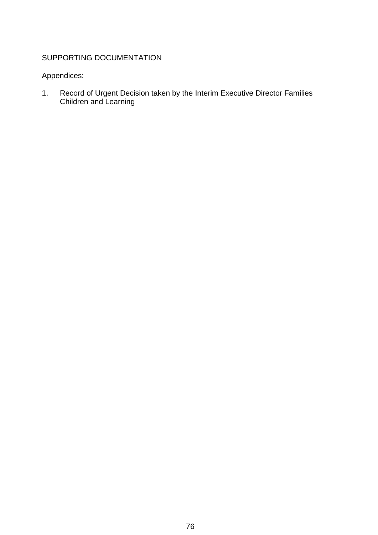# SUPPORTING DOCUMENTATION

# Appendices:

1. Record of Urgent Decision taken by the Interim Executive Director Families Children and Learning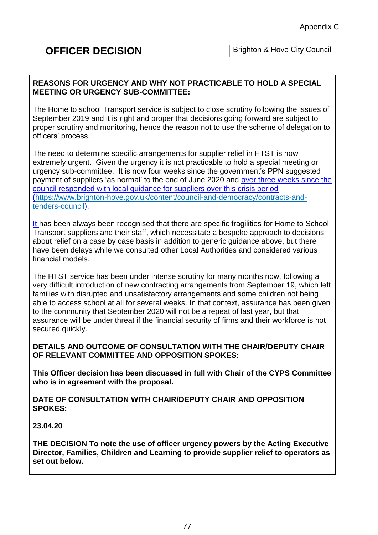| <b>OFFICER DECISION</b> | Brighto |
|-------------------------|---------|
|-------------------------|---------|

#### **REASONS FOR URGENCY AND WHY NOT PRACTICABLE TO HOLD A SPECIAL MEETING OR URGENCY SUB-COMMITTEE:**

The Home to school Transport service is subject to close scrutiny following the issues of September 2019 and it is right and proper that decisions going forward are subject to proper scrutiny and monitoring, hence the reason not to use the scheme of delegation to officers' process.

The need to determine specific arrangements for supplier relief in HTST is now extremely urgent. Given the urgency it is not practicable to hold a special meeting or urgency sub-committee. It is now four weeks since the government's PPN suggested payment of suppliers 'as normal' to the end of June 2020 and over three weeks since the council responded with local guidance for suppliers over this crisis period [\(https://www.brighton-hove.gov.uk/content/council-and-democracy/contracts-and](https://www.brighton-hove.gov.uk/content/council-and-democracy/contracts-and-tenders-council)[tenders-council\)](https://www.brighton-hove.gov.uk/content/council-and-democracy/contracts-and-tenders-council).

It has been always been recognised that there are specific fragilities for Home to School Transport suppliers and their staff, which necessitate a bespoke approach to decisions about relief on a case by case basis in addition to generic guidance above, but there have been delays while we consulted other Local Authorities and considered various financial models.

The HTST service has been under intense scrutiny for many months now, following a very difficult introduction of new contracting arrangements from September 19, which left families with disrupted and unsatisfactory arrangements and some children not being able to access school at all for several weeks. In that context, assurance has been given to the community that September 2020 will not be a repeat of last year, but that assurance will be under threat if the financial security of firms and their workforce is not secured quickly.

**DETAILS AND OUTCOME OF CONSULTATION WITH THE CHAIR/DEPUTY CHAIR OF RELEVANT COMMITTEE AND OPPOSITION SPOKES:**

**This Officer decision has been discussed in full with Chair of the CYPS Committee who is in agreement with the proposal.** 

**DATE OF CONSULTATION WITH CHAIR/DEPUTY CHAIR AND OPPOSITION SPOKES:**

**23.04.20**

**THE DECISION To note the use of officer urgency powers by the Acting Executive Director, Families, Children and Learning to provide supplier relief to operators as set out below.**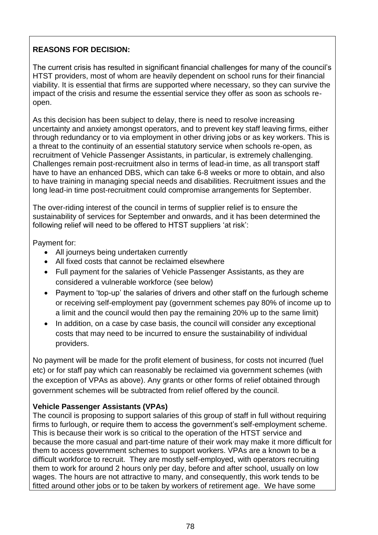# **REASONS FOR DECISION:**

The current crisis has resulted in significant financial challenges for many of the council's HTST providers, most of whom are heavily dependent on school runs for their financial viability. It is essential that firms are supported where necessary, so they can survive the impact of the crisis and resume the essential service they offer as soon as schools reopen.

As this decision has been subject to delay, there is need to resolve increasing uncertainty and anxiety amongst operators, and to prevent key staff leaving firms, either through redundancy or to via employment in other driving jobs or as key workers. This is a threat to the continuity of an essential statutory service when schools re-open, as recruitment of Vehicle Passenger Assistants, in particular, is extremely challenging. Challenges remain post-recruitment also in terms of lead-in time, as all transport staff have to have an enhanced DBS, which can take 6-8 weeks or more to obtain, and also to have training in managing special needs and disabilities. Recruitment issues and the long lead-in time post-recruitment could compromise arrangements for September.

The over-riding interest of the council in terms of supplier relief is to ensure the sustainability of services for September and onwards, and it has been determined the following relief will need to be offered to HTST suppliers 'at risk':

Payment for:

- All journeys being undertaken currently
- All fixed costs that cannot be reclaimed elsewhere
- Full payment for the salaries of Vehicle Passenger Assistants, as they are considered a vulnerable workforce (see below)
- Payment to 'top-up' the salaries of drivers and other staff on the furlough scheme or receiving self-employment pay (government schemes pay 80% of income up to a limit and the council would then pay the remaining 20% up to the same limit)
- In addition, on a case by case basis, the council will consider any exceptional costs that may need to be incurred to ensure the sustainability of individual providers.

No payment will be made for the profit element of business, for costs not incurred (fuel etc) or for staff pay which can reasonably be reclaimed via government schemes (with the exception of VPAs as above). Any grants or other forms of relief obtained through government schemes will be subtracted from relief offered by the council.

# **Vehicle Passenger Assistants (VPAs)**

The council is proposing to support salaries of this group of staff in full without requiring firms to furlough, or require them to access the government's self-employment scheme. This is because their work is so critical to the operation of the HTST service and because the more casual and part-time nature of their work may make it more difficult for them to access government schemes to support workers. VPAs are a known to be a difficult workforce to recruit. They are mostly self-employed, with operators recruiting them to work for around 2 hours only per day, before and after school, usually on low wages. The hours are not attractive to many, and consequently, this work tends to be fitted around other jobs or to be taken by workers of retirement age. We have some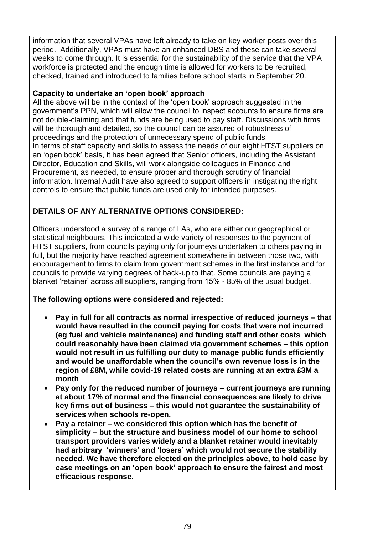information that several VPAs have left already to take on key worker posts over this period. Additionally, VPAs must have an enhanced DBS and these can take several weeks to come through. It is essential for the sustainability of the service that the VPA workforce is protected and the enough time is allowed for workers to be recruited. checked, trained and introduced to families before school starts in September 20.

#### **Capacity to undertake an 'open book' approach**

All the above will be in the context of the 'open book' approach suggested in the government's PPN, which will allow the council to inspect accounts to ensure firms are not double-claiming and that funds are being used to pay staff. Discussions with firms will be thorough and detailed, so the council can be assured of robustness of proceedings and the protection of unnecessary spend of public funds. In terms of staff capacity and skills to assess the needs of our eight HTST suppliers on an 'open book' basis, it has been agreed that Senior officers, including the Assistant Director, Education and Skills, will work alongside colleagues in Finance and Procurement, as needed, to ensure proper and thorough scrutiny of financial information. Internal Audit have also agreed to support officers in instigating the right controls to ensure that public funds are used only for intended purposes.

## **DETAILS OF ANY ALTERNATIVE OPTIONS CONSIDERED:**

Officers understood a survey of a range of LAs, who are either our geographical or statistical neighbours. This indicated a wide variety of responses to the payment of HTST suppliers, from councils paying only for journeys undertaken to others paying in full, but the majority have reached agreement somewhere in between those two, with encouragement to firms to claim from government schemes in the first instance and for councils to provide varying degrees of back-up to that. Some councils are paying a blanket 'retainer' across all suppliers, ranging from 15% - 85% of the usual budget.

### **The following options were considered and rejected:**

- **Pay in full for all contracts as normal irrespective of reduced journeys – that would have resulted in the council paying for costs that were not incurred (eg fuel and vehicle maintenance) and funding staff and other costs which could reasonably have been claimed via government schemes – this option would not result in us fulfilling our duty to manage public funds efficiently and would be unaffordable when the council's own revenue loss is in the region of £8M, while covid-19 related costs are running at an extra £3M a month**
- **Pay only for the reduced number of journeys – current journeys are running at about 17% of normal and the financial consequences are likely to drive key firms out of business – this would not guarantee the sustainability of services when schools re-open.**
- **Pay a retainer – we considered this option which has the benefit of simplicity – but the structure and business model of our home to school transport providers varies widely and a blanket retainer would inevitably had arbitrary 'winners' and 'losers' which would not secure the stability needed. We have therefore elected on the principles above, to hold case by case meetings on an 'open book' approach to ensure the fairest and most efficacious response.**